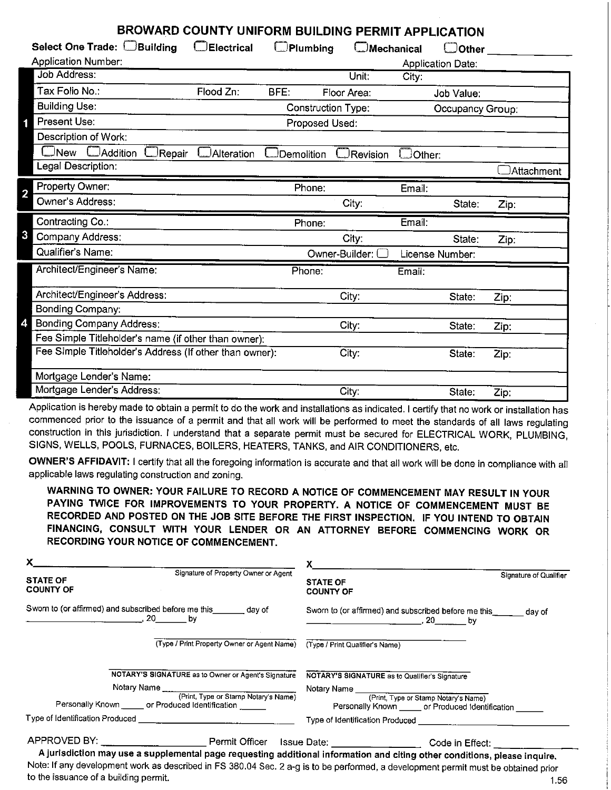## **BROWARD COUNTY UNIFORM BUILDING PERMIT APPLICATION**

| <b>ONE ONE BOILDING FENITH AFFEIGATION</b>              |                   |                           |                   |               |                   |            |
|---------------------------------------------------------|-------------------|---------------------------|-------------------|---------------|-------------------|------------|
| Select One Trade: <b>Building</b>                       | <b>Electrical</b> | $\Box$ Plumbing           | $\Box$ Mechanical |               | $\Box$ Other      |            |
| <b>Application Number:</b>                              |                   |                           |                   |               | Application Date: |            |
| <b>Job Address:</b>                                     |                   |                           | Unit:             | City:         |                   |            |
| Tax Folio No.:                                          | Flood Zn:         | BFE:                      | Floor Area:       |               | Job Value:        |            |
| <b>Building Use:</b>                                    |                   | <b>Construction Type:</b> |                   |               | Occupancy Group:  |            |
| Present Use:                                            |                   | Proposed Used:            |                   |               |                   |            |
| Description of Work:                                    |                   |                           |                   |               |                   |            |
| JNew<br>Addition<br>JRepair                             | Alteration        | Demolition                | Revision          | $\Box$ Other: |                   |            |
| Legal Description:                                      |                   |                           |                   |               |                   | Attachment |
| Property Owner:<br>$\overline{2}$                       |                   | Phone:                    |                   | Email:        |                   |            |
| Owner's Address:                                        |                   |                           | City:             |               | State:            | Zip:       |
|                                                         |                   |                           |                   |               |                   |            |
| Contracting Co.:                                        |                   | Phone:                    |                   | Email:        |                   |            |
| 3<br>Company Address:                                   |                   |                           | City:             |               | State:            | Zip:       |
| Qualifier's Name:                                       |                   |                           | Owner-Builder:    |               | License Number:   |            |
| Architect/Engineer's Name:                              |                   | Phone:                    |                   | Email:        |                   |            |
| Architect/Engineer's Address:                           |                   |                           | City:             |               | State:            | Zip:       |
| <b>Bonding Company:</b>                                 |                   |                           |                   |               |                   |            |
| <b>Bonding Company Address:</b>                         |                   |                           | City:             |               | State:            |            |
| Fee Simple Titleholder's name (if other than owner):    |                   |                           |                   |               |                   | Zip:       |
| Fee Simple Titleholder's Address (If other than owner): |                   |                           | City:             |               | State:            | Zip:       |
| Mortgage Lender's Name:                                 |                   |                           |                   |               |                   |            |

Application is hereby made to obtain a permit to do the work and installations as indicated. I certify that no work or installation has commenced prior to the issuance of a permit and that all work will be performed to meet the standards of all laws regulating construction in this jurisdiction. I understand that a separate permit must be secured for ELECTRICAL WORK, PLUMBING, SIGNS, WELLS, POOLS, FURNACES, BOILERS, HEATERS, TANKS, and AIR CONDITIONERS, etc.

**OWNER'S AFFIDAVIT:** I certify that all the foregoing information is accurate and that all work will be done in compliance with all applicable laws regulating construction and zoning.

**WARNING TO OWNER: YOUR FAILURE TO RECORD A NOTICE OF COMMENCEMENT MAY RESULT IN YOUR PAYING TWICE FOR IMPROVEMENTS TO YOUR PROPERTY. A NOTICE OF COMMENCEMENT MUST BE RECORDED AND POSTED ON THE JOB SITE BEFORE** THE **FIRST INSPECTION.** IF **YOU INTEND TO OBTAIN**  FINANCING, CONSULT WITH YOUR LENDER OR AN ATTORNEY BEFORE COMMENCING WORK OR RECORDING YOUR NOTICE OF COMMENCEMENT.

| X.                                                                                                                        |                                                                             |                                                               |                        |
|---------------------------------------------------------------------------------------------------------------------------|-----------------------------------------------------------------------------|---------------------------------------------------------------|------------------------|
| <b>STATE OF</b><br><b>COUNTY OF</b>                                                                                       | Signature of Property Owner or Agent                                        | <b>STATE OF</b><br><b>COUNTY OF</b>                           | Signature of Qualifier |
| Sworn to (or affirmed) and subscribed before me this _______ day of<br><u>. 20 by</u>                                     |                                                                             | Sworn to (or affirmed) and subscribed before me this_equal of |                        |
|                                                                                                                           | (Type / Print Property Owner or Agent Name) (Type / Print Qualifier's Name) |                                                               |                        |
| NOTARY'S SIGNATURE as to Owner or Agent's Signature                                                                       |                                                                             | NOTARY'S SIGNATURE as to Qualifier's Signature                |                        |
| Notary Name (Print, Type or Stamp Notary's Name)                                                                          |                                                                             |                                                               |                        |
| Personally Known ______ or Produced Identification ______                                                                 |                                                                             | Personally Known ______ or Produced Identification            |                        |
|                                                                                                                           |                                                                             |                                                               |                        |
| APPROVED BY: __________________________Permit Officer Issue Date: ___________________Code in Effect: _________            |                                                                             |                                                               |                        |
| A jurisdiction may use a supplemental page requesting additional information and citing other conditions, please inquire. |                                                                             |                                                               |                        |

Note: If any development work as described in FS 380.04 Sec. 2 a-g is to be performed, a development permit must be obtained prior to the issuance of a building permit. 1.56